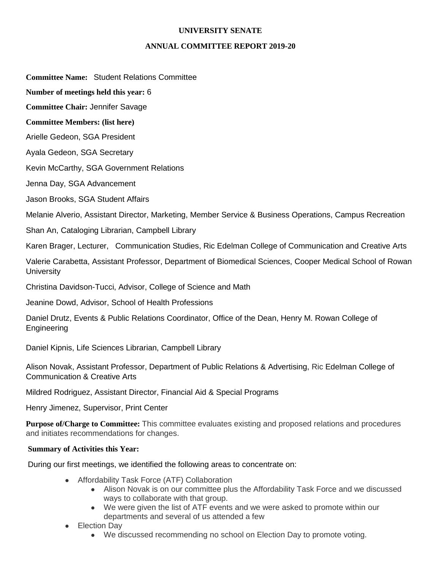#### **UNIVERSITY SENATE**

#### **ANNUAL COMMITTEE REPORT 2019-20**

**Committee Name:** Student Relations Committee

**Number of meetings held this year:** 6

**Committee Chair:** Jennifer Savage

**Committee Members: (list here)** 

Arielle Gedeon, SGA President

Ayala Gedeon, SGA Secretary

Kevin McCarthy, SGA Government Relations

Jenna Day, SGA Advancement

Jason Brooks, SGA Student Affairs

Melanie Alverio, Assistant Director, Marketing, Member Service & Business Operations, Campus Recreation

Shan An, Cataloging Librarian, Campbell Library

Karen Brager, Lecturer, Communication Studies, Ric Edelman College of Communication and Creative Arts

Valerie Carabetta, Assistant Professor, Department of Biomedical Sciences, Cooper Medical School of Rowan **University** 

Christina Davidson-Tucci, Advisor, College of Science and Math

Jeanine Dowd, Advisor, School of Health Professions

Daniel Drutz, Events & Public Relations Coordinator, Office of the Dean, Henry M. Rowan College of Engineering

Daniel Kipnis, Life Sciences Librarian, Campbell Library

Alison Novak, Assistant Professor, Department of Public Relations & Advertising, Ric Edelman College of Communication & Creative Arts

Mildred Rodriguez, Assistant Director, Financial Aid & Special Programs

Henry Jimenez, Supervisor, Print Center

**Purpose of/Charge to Committee:** This committee evaluates existing and proposed relations and procedures and initiates recommendations for changes.

#### **Summary of Activities this Year:**

During our first meetings, we identified the following areas to concentrate on:

- Affordability Task Force (ATF) Collaboration
	- Alison Novak is on our committee plus the Affordability Task Force and we discussed ways to collaborate with that group.
	- We were given the list of ATF events and we were asked to promote within our departments and several of us attended a few
- **Election Dav** 
	- We discussed recommending no school on Election Day to promote voting.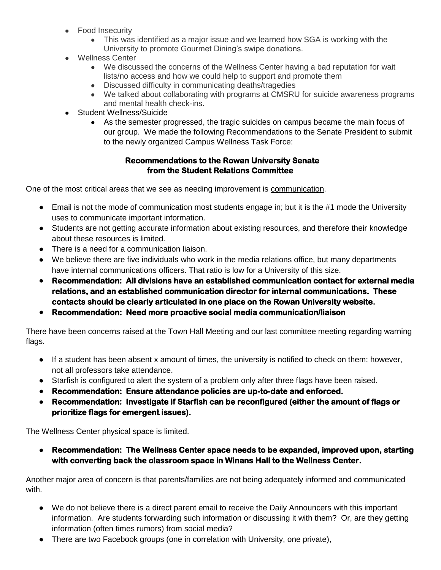- Food Insecurity
	- This was identified as a major issue and we learned how SGA is working with the University to promote Gourmet Dining's swipe donations.
- Wellness Center
	- We discussed the concerns of the Wellness Center having a bad reputation for wait lists/no access and how we could help to support and promote them
	- Discussed difficulty in communicating deaths/tragedies
	- We talked about collaborating with programs at CMSRU for suicide awareness programs and mental health check-ins.
- Student Wellness/Suicide
	- As the semester progressed, the tragic suicides on campus became the main focus of our group. We made the following Recommendations to the Senate President to submit to the newly organized Campus Wellness Task Force:

## **Recommendations to the Rowan University Senate from the Student Relations Committee**

One of the most critical areas that we see as needing improvement is communication.

- Email is not the mode of communication most students engage in; but it is the #1 mode the University uses to communicate important information.
- Students are not getting accurate information about existing resources, and therefore their knowledge about these resources is limited.
- There is a need for a communication liaison.
- We believe there are five individuals who work in the media relations office, but many departments have internal communications officers. That ratio is low for a University of this size.
- **Recommendation: All divisions have an established communication contact for external media relations, and an established communication director for internal communications. These contacts should be clearly articulated in one place on the Rowan University website.**
- **Recommendation: Need more proactive social media communication/liaison**

There have been concerns raised at the Town Hall Meeting and our last committee meeting regarding warning flags.

- If a student has been absent x amount of times, the university is notified to check on them; however, not all professors take attendance.
- Starfish is configured to alert the system of a problem only after three flags have been raised.
- **Recommendation: Ensure attendance policies are up-to-date and enforced.**
- **Recommendation: Investigate if Starfish can be reconfigured (either the amount of flags or prioritize flags for emergent issues).**

The Wellness Center physical space is limited.

● **Recommendation: The Wellness Center space needs to be expanded, improved upon, starting with converting back the classroom space in Winans Hall to the Wellness Center.** 

Another major area of concern is that parents/families are not being adequately informed and communicated with.

- We do not believe there is a direct parent email to receive the Daily Announcers with this important information. Are students forwarding such information or discussing it with them? Or, are they getting information (often times rumors) from social media?
- There are two Facebook groups (one in correlation with University, one private),